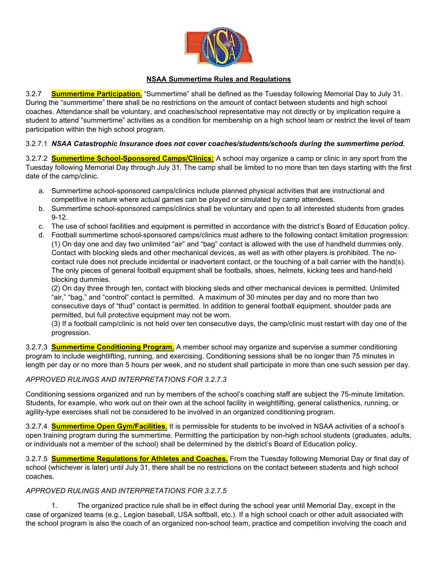

## **NSAA Summertime Rules and Regulations**

3.2.7 **Summertime Participation.** "Summertime" shall be defined as the Tuesday following Memorial Day to July 31. During the "summertime" there shall be no restrictions on the amount of contact between students and high school coaches. Attendance shall be voluntary, and coaches/school representative may not directly or by implication require a student to attend "summertime" activities as a condition for membership on a high school team or restrict the level of team participation within the high school program.

## 3.2.7.1 *NSAA Catastrophic Insurance does not cover coaches/students/schools during the summertime period.*

3.2.7.2 **Summertime School-Sponsored Camps/Clinics:** A school may organize a camp or clinic in any sport from the Tuesday following Memorial Day through July 31. The camp shall be limited to no more than ten days starting with the first date of the camp/clinic.

- a. Summertime school-sponsored camps/clinics include planned physical activities that are instructional and competitive in nature where actual games can be played or simulated by camp attendees.
- b. Summertime school-sponsored camps/clinics shall be voluntary and open to all interested students from grades 9-12.
- c. The use of school facilities and equipment is permitted in accordance with the district's Board of Education policy.
- d. Football summertime school-sponsored camps/clinics must adhere to the following contact limitation progression: (1) On day one and day two unlimited "air" and "bag" contact is allowed with the use of handheld dummies only. Contact with blocking sleds and other mechanical devices, as well as with other players is prohibited. The nocontact rule does not preclude incidental or inadvertent contact, or the touching of a ball carrier with the hand(s). The only pieces of general football equipment shall be footballs, shoes, helmets, kicking tees and hand-held blocking dummies.

(2) On day three through ten, contact with blocking sleds and other mechanical devices is permitted. Unlimited "air," "bag," and "control" contact is permitted. A maximum of 30 minutes per day and no more than two consecutive days of "thud" contact is permitted. In addition to general football equipment, shoulder pads are permitted, but full protective equipment may not be worn.

(3) If a football camp/clinic is not held over ten consecutive days, the camp/clinic must restart with day one of the progression.

3.2.7.3 **Summertime Conditioning Program.** A member school may organize and supervise a summer conditioning program to include weightlifting, running, and exercising. Conditioning sessions shall be no longer than 75 minutes in length per day or no more than 5 hours per week, and no student shall participate in more than one such session per day.

# *APPROVED RULINGS AND INTERPRETATIONS FOR 3.2.7.3*

Conditioning sessions organized and run by members of the school's coaching staff are subject the 75-minute limitation. Students, for example, who work out on their own at the school facility in weightlifting, general calisthenics, running, or agility-type exercises shall not be considered to be involved in an organized conditioning program.

3.2.7.4 **Summertime Open Gym/Facilities.** It is permissible for students to be involved in NSAA activities of a school's open training program during the summertime. Permitting the participation by non-high school students (graduates, adults, or individuals not a member of the school) shall be determined by the district's Board of Education policy.

3.2.7.5 **Summertime Regulations for Athletes and Coaches.** From the Tuesday following Memorial Day or final day of school (whichever is later) until July 31, there shall be no restrictions on the contact between students and high school coaches.

# *APPROVED RULINGS AND INTERPRETATIONS FOR 3.2.7.5*

1. The organized practice rule shall be in effect during the school year until Memorial Day, except in the case of organized teams (e.g., Legion baseball, USA softball, etc.). If a high school coach or other adult associated with the school program is also the coach of an organized non-school team, practice and competition involving the coach and